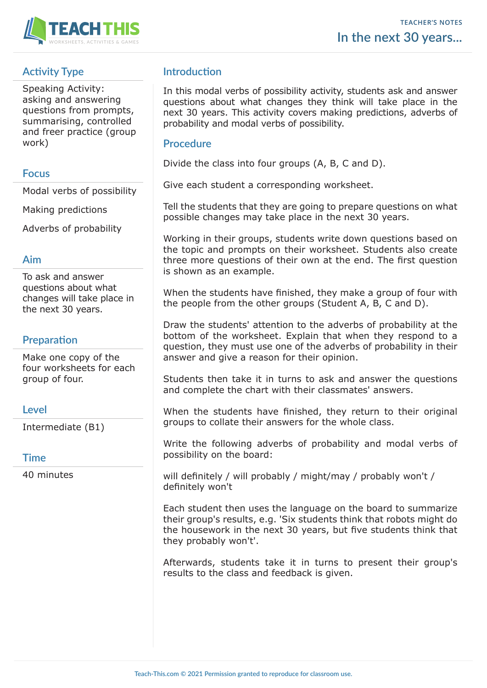

# **Activity Type**

Speaking Activity: asking and answering questions from prompts, summarising, controlled and freer practice (group work)

## **Focus**

Modal verbs of possibility

Making predictions

Adverbs of probability

## **Aim**

To ask and answer questions about what changes will take place in the next 30 years.

## **Preparation**

Make one copy of the four worksheets for each group of four.

## **Level**

Intermediate (B1)

## **Time**

40 minutes

## **Introduction**

In this modal verbs of possibility activity, students ask and answer questions about what changes they think will take place in the next 30 years. This activity covers making predictions, adverbs of probability and modal verbs of possibility.

## **Procedure**

Divide the class into four groups (A, B, C and D).

Give each student a corresponding worksheet.

Tell the students that they are going to prepare questions on what possible changes may take place in the next 30 years.

Working in their groups, students write down questions based on the topic and prompts on their worksheet. Students also create three more questions of their own at the end. The first question is shown as an example.

When the students have finished, they make a group of four with the people from the other groups (Student A, B, C and D).

Draw the students' attention to the adverbs of probability at the bottom of the worksheet. Explain that when they respond to a question, they must use one of the adverbs of probability in their answer and give a reason for their opinion.

Students then take it in turns to ask and answer the questions and complete the chart with their classmates' answers.

When the students have finished, they return to their original groups to collate their answers for the whole class.

Write the following adverbs of probability and modal verbs of possibility on the board:

will definitely / will probably / might/may / probably won't / definitely won't

Each student then uses the language on the board to summarize their group's results, e.g. 'Six students think that robots might do the housework in the next 30 years, but five students think that they probably won't'.

Afterwards, students take it in turns to present their group's results to the class and feedback is given.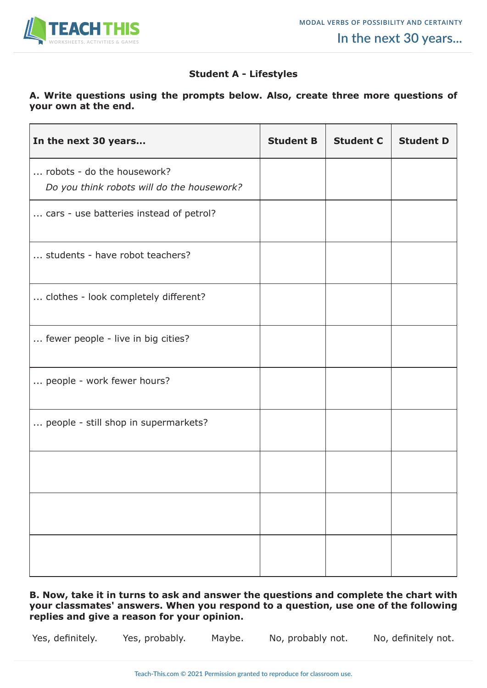

#### **Student A - Lifestyles**

#### **A. Write questions using the prompts below. Also, create three more questions of your own at the end.**

| In the next 30 years                                                     | <b>Student B</b> | <b>Student C</b> | <b>Student D</b> |
|--------------------------------------------------------------------------|------------------|------------------|------------------|
| robots - do the housework?<br>Do you think robots will do the housework? |                  |                  |                  |
| cars - use batteries instead of petrol?                                  |                  |                  |                  |
| students - have robot teachers?                                          |                  |                  |                  |
| clothes - look completely different?                                     |                  |                  |                  |
| fewer people - live in big cities?                                       |                  |                  |                  |
| people - work fewer hours?                                               |                  |                  |                  |
| people - still shop in supermarkets?                                     |                  |                  |                  |
|                                                                          |                  |                  |                  |
|                                                                          |                  |                  |                  |
|                                                                          |                  |                  |                  |

**B. Now, take it in turns to ask and answer the questions and complete the chart with your classmates' answers. When you respond to a question, use one of the following replies and give a reason for your opinion.**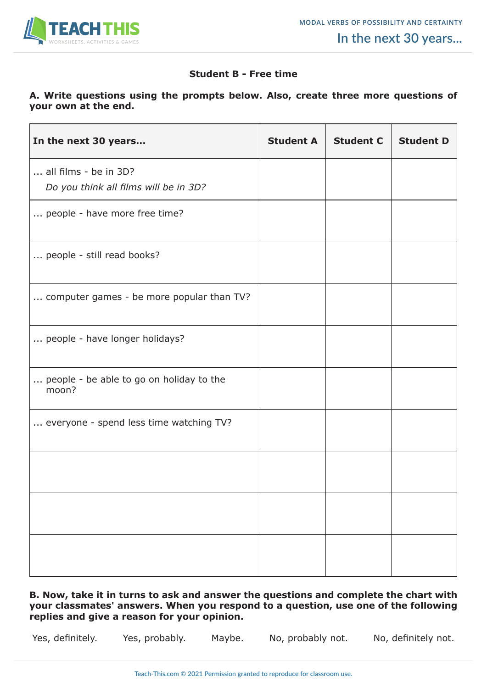

#### **Student B - Free time**

#### **A. Write questions using the prompts below. Also, create three more questions of your own at the end.**

| In the next 30 years                                           | <b>Student A</b> | <b>Student C</b> | <b>Student D</b> |
|----------------------------------------------------------------|------------------|------------------|------------------|
| all films - be in 3D?<br>Do you think all films will be in 3D? |                  |                  |                  |
| people - have more free time?                                  |                  |                  |                  |
| people - still read books?                                     |                  |                  |                  |
| computer games - be more popular than TV?                      |                  |                  |                  |
| people - have longer holidays?                                 |                  |                  |                  |
| people - be able to go on holiday to the<br>moon?              |                  |                  |                  |
| everyone - spend less time watching TV?                        |                  |                  |                  |
|                                                                |                  |                  |                  |
|                                                                |                  |                  |                  |
|                                                                |                  |                  |                  |

**B. Now, take it in turns to ask and answer the questions and complete the chart with your classmates' answers. When you respond to a question, use one of the following replies and give a reason for your opinion.**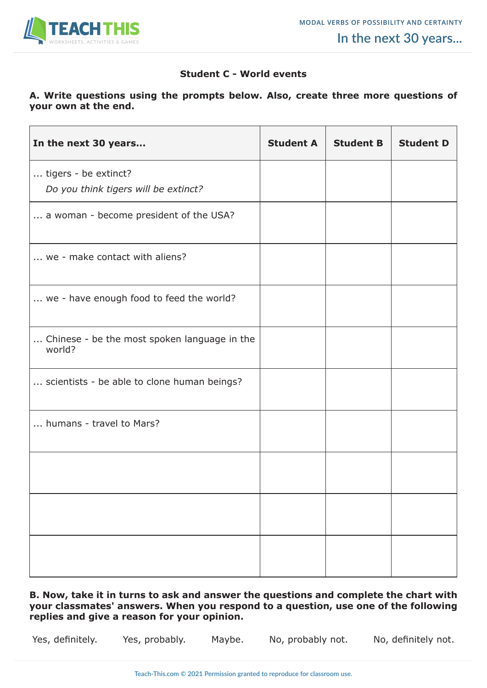

#### **Student C - World events**

#### **A. Write questions using the prompts below. Also, create three more questions of your own at the end.**

| In the next 30 years                                         | <b>Student A</b> | <b>Student B</b> | <b>Student D</b> |
|--------------------------------------------------------------|------------------|------------------|------------------|
| tigers - be extinct?<br>Do you think tigers will be extinct? |                  |                  |                  |
| a woman - become president of the USA?                       |                  |                  |                  |
| we - make contact with aliens?                               |                  |                  |                  |
| we - have enough food to feed the world?                     |                  |                  |                  |
| Chinese - be the most spoken language in the<br>world?       |                  |                  |                  |
| scientists - be able to clone human beings?                  |                  |                  |                  |
| humans - travel to Mars?                                     |                  |                  |                  |
|                                                              |                  |                  |                  |
|                                                              |                  |                  |                  |
|                                                              |                  |                  |                  |

**B. Now, take it in turns to ask and answer the questions and complete the chart with your classmates' answers. When you respond to a question, use one of the following replies and give a reason for your opinion.**